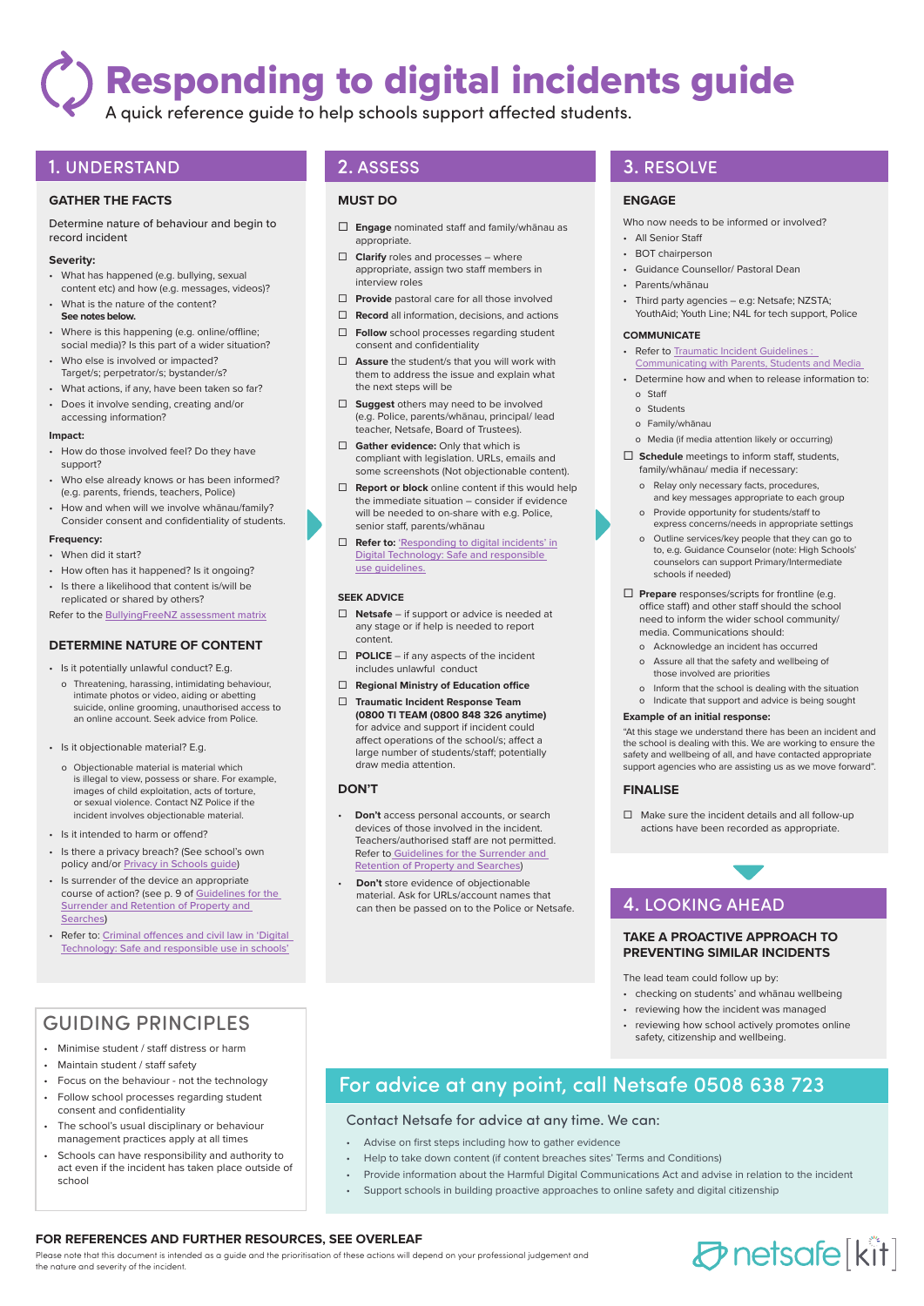# Responding to digital incidents guide

A quick reference guide to help schools support affected students.

## 1. UNDERSTAND

#### **GATHER THE FACTS**

Determine nature of behaviour and begin to record incident

#### **Severity:**

- What has happened (e.g. bullying, sexual content etc) and how (e.g. messages, videos)?
- What is the nature of the content? **See notes below.**
- Where is this happening (e.g. online/offline; social media)? Is this part of a wider situation?
- Who else is involved or impacted? Target/s; perpetrator/s; bystander/s?
- What actions, if any, have been taken so far?
- Does it involve sending, creating and/or accessing information?

#### **Impact:**

- How do those involved feel? Do they have support?
- Who else already knows or has been informed? (e.g. parents, friends, teachers, Police)
- How and when will we involve whānau/family? Consider consent and confidentiality of students.

#### **Frequency:**

- When did it start?
- How often has it happened? Is it ongoing?
- Is there a likelihood that content is/will be replicated or shared by others?
- Refer to the [BullyingFreeNZ assessment matrix](https://www.bullyingfree.nz/bullying-assessment-matrix/)

### **DETERMINE NATURE OF CONTENT**

- Is it potentially unlawful conduct? E.g.
- o Threatening, harassing, intimidating behaviour, intimate photos or video, aiding or abetting suicide, online grooming, unauthorised access to an online account. Seek advice from Police.
- Is it objectionable material? E.g.
	- o Objectionable material is material which is illegal to view, possess or share. For example, images of child exploitation, acts of torture, or sexual violence. Contact NZ Police if the incident involves objectionable material.
- Is it intended to harm or offend?
- Is there a privacy breach? (See school's own policy and/or [Privacy in Schools guide](https://privacy.org.nz/assets/Files/Brochures-and-pamphlets-and-pubs/Privacy-in-Schools-September-2009.pdf))
- Is surrender of the device an appropriate course of action? (see p. 9 of Guidelines for the [Surrender and Retention of Property and](https://education.govt.nz/assets/Documents/School/Guidelines-for-the-surrender-and-retention-of-property-and-searches.pdf)  [Searches](https://education.govt.nz/assets/Documents/School/Guidelines-for-the-surrender-and-retention-of-property-and-searches.pdf))
- Refer to: Criminal offences and civil law in 'Digital [Technology: Safe and responsible use in schools'](https://education.govt.nz/school/managing-and-supporting-students/student-behaviour-help-and-guidance/searching-and-removing-student-property/digital-technology-guide-for-schools/digital-technology-safe-and-responsible-use-in-schools/appendice/new-cd-page/)

## GUIDING PRINCIPLES

- Minimise student / staff distress or harm
- Maintain student / staff safety
- Focus on the behaviour not the technology
- Follow school processes regarding student consent and confidentiality
- The school's usual disciplinary or behaviour management practices apply at all times
- Schools can have responsibility and authority to act even if the incident has taken place outside of school

#### **MUST DO**

- **Engage** nominated staff and family/whānau as appropriate.
- **Clarify** roles and processes where appropriate, assign two staff members in interview roles
- **Provide** pastoral care for all those involved
- **Record** all information, decisions, and actions
- **Follow** school processes regarding student consent and confidentiality
- **Assure** the student/s that you will work with them to address the issue and explain what the next steps will be
- **Suggest** others may need to be involved (e.g. Police, parents/whānau, principal/ lead teacher, Netsafe, Board of Trustees).
- **Gather evidence:** Only that which is compliant with legislation. URLs, emails and some screenshots (Not objectionable content).
- **Report or block** online content if this would help the immediate situation – consider if evidence will be needed to on-share with e.g. Police, senior staff, parents/whānau
- **Refer to:** ['Responding to digital incidents' in](https://education.govt.nz/school/managing-and-supporting-students/student-behaviour-help-and-guidance/searching-and-removing-student-property/digital-technology-guide-for-schools/digital-technology-safe-and-responsible-use-in-schools/new-cd-page-3)  [Digital Technology: Safe and responsible](https://education.govt.nz/school/managing-and-supporting-students/student-behaviour-help-and-guidance/searching-and-removing-student-property/digital-technology-guide-for-schools/digital-technology-safe-and-responsible-use-in-schools/new-cd-page-3)  [use guidelines.](https://education.govt.nz/school/managing-and-supporting-students/student-behaviour-help-and-guidance/searching-and-removing-student-property/digital-technology-guide-for-schools/digital-technology-safe-and-responsible-use-in-schools/new-cd-page-3)

#### **SEEK ADVICE**

- **Netsafe** if support or advice is needed at any stage or if help is needed to report content.
- **POLICE** if any aspects of the incident includes unlawful conduct
- **Regional Ministry of Education office**
- **Traumatic Incident Response Team (0800 TI TEAM (0800 848 326 anytime)** for advice and support if incident could affect operations of the school/s; affect a large number of students/staff; potentially draw media attention.

#### **DON'T**

- **Don't** access personal accounts, or search devices of those involved in the incident. Teachers/authorised staff are not permitted. Refer to [Guidelines for the Surrender and](https://education.govt.nz/assets/Documents/School/Guidelines-for-the-surrender-and-retention-of-property-and-searches.pdf)  [Retention of Property and Searches](https://education.govt.nz/assets/Documents/School/Guidelines-for-the-surrender-and-retention-of-property-and-searches.pdf))
- **Don't** store evidence of objectionable material. Ask for URLs/account names that can then be passed on to the Police or Netsafe.

## 2. ASSESS **3. RESOLVE**

#### **ENGAGE**

Who now needs to be informed or involved?

- All Senior Staff
- BOT chairperson
- Guidance Counsellor/ Pastoral Dean
- Parents/whānau
- Third party agencies e.g: Netsafe; NZSTA; YouthAid; Youth Line; N4L for tech support, Police

#### **COMMUNICATE**

- Refer to Traumatic Incident Guidelines : [Communicating with Parents, Students and Media](https://education.govt.nz/assets/Documents/School/Traumatic-incidents-and-emergencies/Traumatic-incidents-schools-Guidelines-for-wellbeing.pdf)
- Determine how and when to release information to: o Staff
	- o Students
	- o Family/whānau
- o Media (if media attention likely or occurring)
- **Schedule** meetings to inform staff, students, family/whānau/ media if necessary:
	- o Relay only necessary facts, procedures, and key messages appropriate to each group o Provide opportunity for students/staff to
	- express concerns/needs in appropriate settings o Outline services/key people that they can go to
	- to, e.g. Guidance Counselor (note: High Schools' counselors can support Primary/Intermediate schools if needed)
- **Prepare** responses/scripts for frontline (e.g. office staff) and other staff should the school need to inform the wider school community/ media. Communications should:
	- o Acknowledge an incident has occurred
	- o Assure all that the safety and wellbeing of those involved are priorities
	- o Inform that the school is dealing with the situation
	- o Indicate that support and advice is being sought

#### **Example of an initial response:**

"At this stage we understand there has been an incident and the school is dealing with this. We are working to ensure the safety and wellbeing of all, and have contacted appropriate support agencies who are assisting us as we move forward".

#### **FINALISE**

 $\Box$  Make sure the incident details and all follow-up actions have been recorded as appropriate.

## 4. LOOKING AHEAD

#### **TAKE A PROACTIVE APPROACH TO PREVENTING SIMILAR INCIDENTS**

#### The lead team could follow up by:

- checking on students' and whānau wellbeing
- reviewing how the incident was managed
- reviewing how school actively promotes online safety, citizenship and wellbeing.

## For advice at any point, call Netsafe 0508 638 723

#### Contact Netsafe for advice at any time. We can:

- Advise on first steps including how to gather evidence
- Help to take down content (if content breaches sites' Terms and Conditions)
- Provide information about the Harmful Digital Communications Act and advise in relation to the incident
- Support schools in building proactive approaches to online safety and digital citizenship

### **FOR REFERENCES AND FURTHER RESOURCES, SEE OVERLEAF**

Please note that this document is intended as a guide and the prioritisation of these actions will depend on your professional judgement and the nature and severity of the incident.

## *D* netsafe [kit]